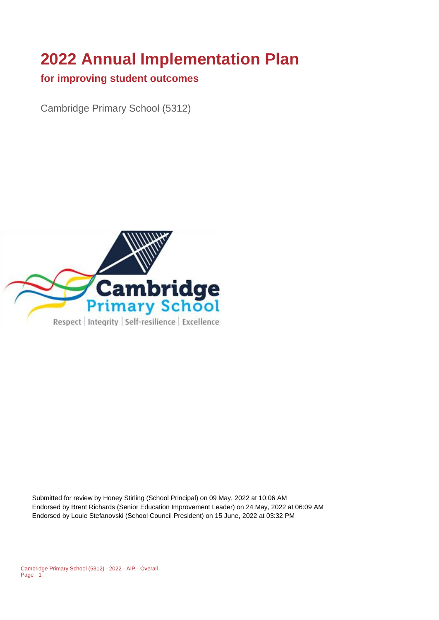# **2022 Annual Implementation Plan**

#### **for improving student outcomes**

Cambridge Primary School (5312)



Submitted for review by Honey Stirling (School Principal) on 09 May, 2022 at 10:06 AM Endorsed by Brent Richards (Senior Education Improvement Leader) on 24 May, 2022 at 06:09 AM Endorsed by Louie Stefanovski (School Council President) on 15 June, 2022 at 03:32 PM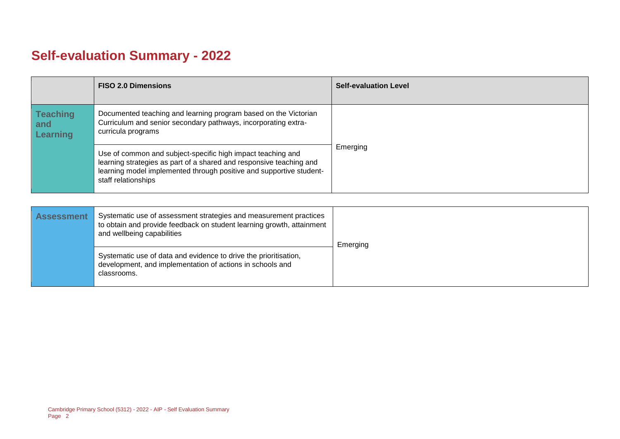# **Self-evaluation Summary - 2022**

|                                           | <b>FISO 2.0 Dimensions</b>                                                                                                                                                                                                       | <b>Self-evaluation Level</b> |
|-------------------------------------------|----------------------------------------------------------------------------------------------------------------------------------------------------------------------------------------------------------------------------------|------------------------------|
| <b>Teaching</b><br>and<br><b>Learning</b> | Documented teaching and learning program based on the Victorian<br>Curriculum and senior secondary pathways, incorporating extra-<br>curricula programs                                                                          |                              |
|                                           | Use of common and subject-specific high impact teaching and<br>learning strategies as part of a shared and responsive teaching and<br>learning model implemented through positive and supportive student-<br>staff relationships | Emerging                     |

| <b>Assessment</b> | Systematic use of assessment strategies and measurement practices<br>to obtain and provide feedback on student learning growth, attainment<br>and wellbeing capabilities | Emerging |
|-------------------|--------------------------------------------------------------------------------------------------------------------------------------------------------------------------|----------|
|                   | Systematic use of data and evidence to drive the prioritisation,<br>development, and implementation of actions in schools and<br>classrooms.                             |          |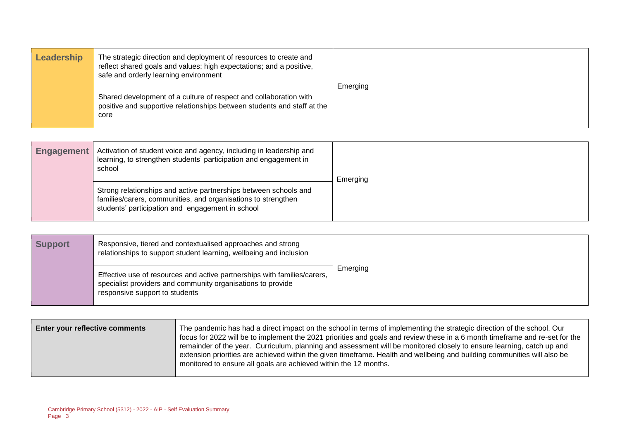| Leadership | The strategic direction and deployment of resources to create and<br>reflect shared goals and values; high expectations; and a positive,<br>safe and orderly learning environment | Emerging |
|------------|-----------------------------------------------------------------------------------------------------------------------------------------------------------------------------------|----------|
|            | Shared development of a culture of respect and collaboration with<br>positive and supportive relationships between students and staff at the<br>core                              |          |

| <b>Engagement</b> | Activation of student voice and agency, including in leadership and<br>learning, to strengthen students' participation and engagement in<br>school                                    | Emerging |
|-------------------|---------------------------------------------------------------------------------------------------------------------------------------------------------------------------------------|----------|
|                   | Strong relationships and active partnerships between schools and<br>families/carers, communities, and organisations to strengthen<br>students' participation and engagement in school |          |

| <b>Support</b> | Responsive, tiered and contextualised approaches and strong<br>relationships to support student learning, wellbeing and inclusion                                         |          |
|----------------|---------------------------------------------------------------------------------------------------------------------------------------------------------------------------|----------|
|                | Effective use of resources and active partnerships with families/carers,<br>specialist providers and community organisations to provide<br>responsive support to students | Emerging |

| Enter your reflective comments | The pandemic has had a direct impact on the school in terms of implementing the strategic direction of the school. Our<br>focus for 2022 will be to implement the 2021 priorities and goals and review these in a 6 month timeframe and re-set for the<br>remainder of the year. Curriculum, planning and assessment will be monitored closely to ensure learning, catch up and<br>extension priorities are achieved within the given timeframe. Health and wellbeing and building communities will also be |
|--------------------------------|-------------------------------------------------------------------------------------------------------------------------------------------------------------------------------------------------------------------------------------------------------------------------------------------------------------------------------------------------------------------------------------------------------------------------------------------------------------------------------------------------------------|
|                                | monitored to ensure all goals are achieved within the 12 months.                                                                                                                                                                                                                                                                                                                                                                                                                                            |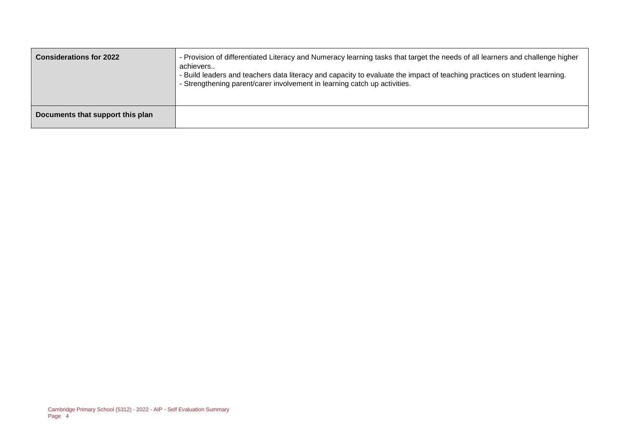| <b>Considerations for 2022</b>   | - Provision of differentiated Literacy and Numeracy learning tasks that target the needs of all learners and challenge higher<br>achievers<br>- Build leaders and teachers data literacy and capacity to evaluate the impact of teaching practices on student learning.<br>- Strengthening parent/carer involvement in learning catch up activities. |
|----------------------------------|------------------------------------------------------------------------------------------------------------------------------------------------------------------------------------------------------------------------------------------------------------------------------------------------------------------------------------------------------|
| Documents that support this plan |                                                                                                                                                                                                                                                                                                                                                      |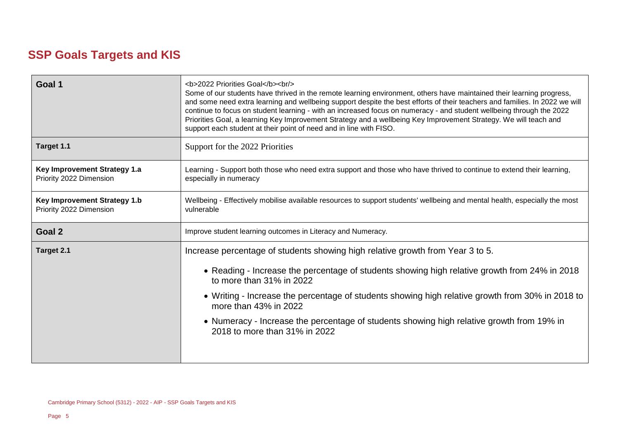# **SSP Goals Targets and KIS**

| Learning - Support both those who need extra support and those who have thrived to continue to extend their learning,      |
|----------------------------------------------------------------------------------------------------------------------------|
|                                                                                                                            |
|                                                                                                                            |
| Wellbeing - Effectively mobilise available resources to support students' wellbeing and mental health, especially the most |
|                                                                                                                            |
|                                                                                                                            |
| • Reading - Increase the percentage of students showing high relative growth from 24% in 2018                              |
| • Writing - Increase the percentage of students showing high relative growth from 30% in 2018 to                           |
|                                                                                                                            |
| • Numeracy - Increase the percentage of students showing high relative growth from 19% in                                  |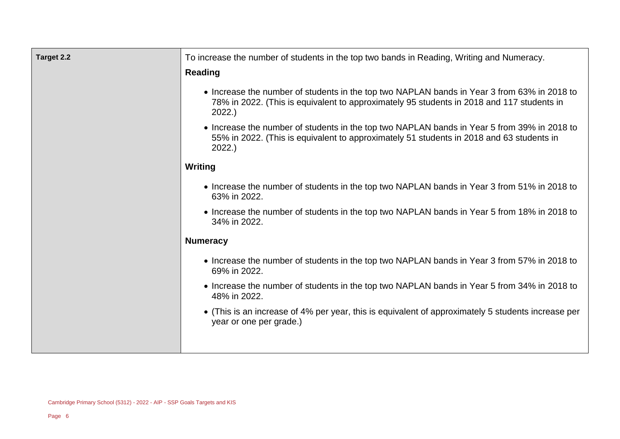| Target 2.2 | To increase the number of students in the top two bands in Reading, Writing and Numeracy.                                                                                                         |
|------------|---------------------------------------------------------------------------------------------------------------------------------------------------------------------------------------------------|
|            | <b>Reading</b>                                                                                                                                                                                    |
|            | • Increase the number of students in the top two NAPLAN bands in Year 3 from 63% in 2018 to<br>78% in 2022. (This is equivalent to approximately 95 students in 2018 and 117 students in<br>2022. |
|            | • Increase the number of students in the top two NAPLAN bands in Year 5 from 39% in 2018 to<br>55% in 2022. (This is equivalent to approximately 51 students in 2018 and 63 students in<br>2022.  |
|            | <b>Writing</b>                                                                                                                                                                                    |
|            | • Increase the number of students in the top two NAPLAN bands in Year 3 from 51% in 2018 to<br>63% in 2022.                                                                                       |
|            | • Increase the number of students in the top two NAPLAN bands in Year 5 from 18% in 2018 to<br>34% in 2022.                                                                                       |
|            | <b>Numeracy</b>                                                                                                                                                                                   |
|            | • Increase the number of students in the top two NAPLAN bands in Year 3 from 57% in 2018 to<br>69% in 2022.                                                                                       |
|            | • Increase the number of students in the top two NAPLAN bands in Year 5 from 34% in 2018 to<br>48% in 2022.                                                                                       |
|            | • (This is an increase of 4% per year, this is equivalent of approximately 5 students increase per<br>year or one per grade.)                                                                     |
|            |                                                                                                                                                                                                   |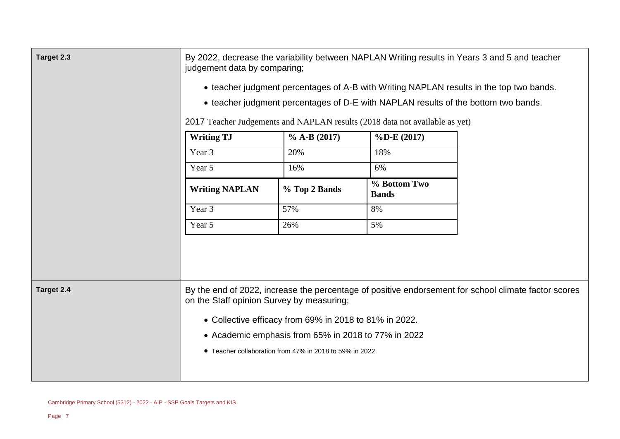| Target 2.3 | By 2022, decrease the variability between NAPLAN Writing results in Years 3 and 5 and teacher<br>judgement data by comparing;<br>• teacher judgment percentages of A-B with Writing NAPLAN results in the top two bands.<br>• teacher judgment percentages of D-E with NAPLAN results of the bottom two bands.<br>2017 Teacher Judgements and NAPLAN results (2018 data not available as yet) |                                                          |                              |                                                                                                      |
|------------|-----------------------------------------------------------------------------------------------------------------------------------------------------------------------------------------------------------------------------------------------------------------------------------------------------------------------------------------------------------------------------------------------|----------------------------------------------------------|------------------------------|------------------------------------------------------------------------------------------------------|
|            | <b>Writing TJ</b>                                                                                                                                                                                                                                                                                                                                                                             | $\%$ A-B (2017)                                          | $\%D-E(2017)$                |                                                                                                      |
|            | Year 3                                                                                                                                                                                                                                                                                                                                                                                        | 20%                                                      | 18%                          |                                                                                                      |
|            | Year 5                                                                                                                                                                                                                                                                                                                                                                                        | 16%                                                      | 6%                           |                                                                                                      |
|            | <b>Writing NAPLAN</b>                                                                                                                                                                                                                                                                                                                                                                         | % Top 2 Bands                                            | % Bottom Two<br><b>Bands</b> |                                                                                                      |
|            | Year 3                                                                                                                                                                                                                                                                                                                                                                                        | 57%                                                      | 8%                           |                                                                                                      |
|            | Year 5                                                                                                                                                                                                                                                                                                                                                                                        | 26%                                                      | 5%                           |                                                                                                      |
|            |                                                                                                                                                                                                                                                                                                                                                                                               |                                                          |                              |                                                                                                      |
| Target 2.4 | on the Staff opinion Survey by measuring;                                                                                                                                                                                                                                                                                                                                                     |                                                          |                              | By the end of 2022, increase the percentage of positive endorsement for school climate factor scores |
|            |                                                                                                                                                                                                                                                                                                                                                                                               | • Collective efficacy from 69% in 2018 to 81% in 2022.   |                              |                                                                                                      |
|            |                                                                                                                                                                                                                                                                                                                                                                                               | • Academic emphasis from 65% in 2018 to 77% in 2022      |                              |                                                                                                      |
|            |                                                                                                                                                                                                                                                                                                                                                                                               | • Teacher collaboration from 47% in 2018 to 59% in 2022. |                              |                                                                                                      |
|            |                                                                                                                                                                                                                                                                                                                                                                                               |                                                          |                              |                                                                                                      |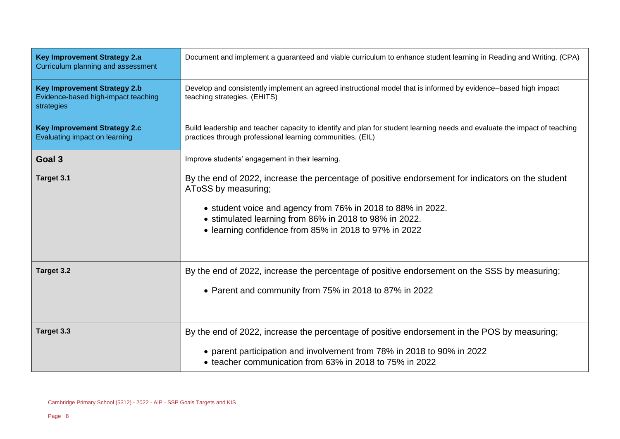| <b>Key Improvement Strategy 2.a</b><br>Curriculum planning and assessment                | Document and implement a guaranteed and viable curriculum to enhance student learning in Reading and Writing. (CPA)                                                                                                                                                                                        |  |
|------------------------------------------------------------------------------------------|------------------------------------------------------------------------------------------------------------------------------------------------------------------------------------------------------------------------------------------------------------------------------------------------------------|--|
| <b>Key Improvement Strategy 2.b</b><br>Evidence-based high-impact teaching<br>strategies | Develop and consistently implement an agreed instructional model that is informed by evidence-based high impact<br>teaching strategies. (EHITS)                                                                                                                                                            |  |
| <b>Key Improvement Strategy 2.c</b><br>Evaluating impact on learning                     | Build leadership and teacher capacity to identify and plan for student learning needs and evaluate the impact of teaching<br>practices through professional learning communities. (EIL)                                                                                                                    |  |
| Goal 3                                                                                   | Improve students' engagement in their learning.                                                                                                                                                                                                                                                            |  |
| Target 3.1                                                                               | By the end of 2022, increase the percentage of positive endorsement for indicators on the student<br>AToSS by measuring;<br>• student voice and agency from 76% in 2018 to 88% in 2022.<br>• stimulated learning from 86% in 2018 to 98% in 2022.<br>• learning confidence from 85% in 2018 to 97% in 2022 |  |
| Target 3.2                                                                               | By the end of 2022, increase the percentage of positive endorsement on the SSS by measuring;<br>• Parent and community from 75% in 2018 to 87% in 2022                                                                                                                                                     |  |
| Target 3.3                                                                               | By the end of 2022, increase the percentage of positive endorsement in the POS by measuring;<br>• parent participation and involvement from 78% in 2018 to 90% in 2022<br>• teacher communication from 63% in 2018 to 75% in 2022                                                                          |  |

 $\overline{\phantom{a}}$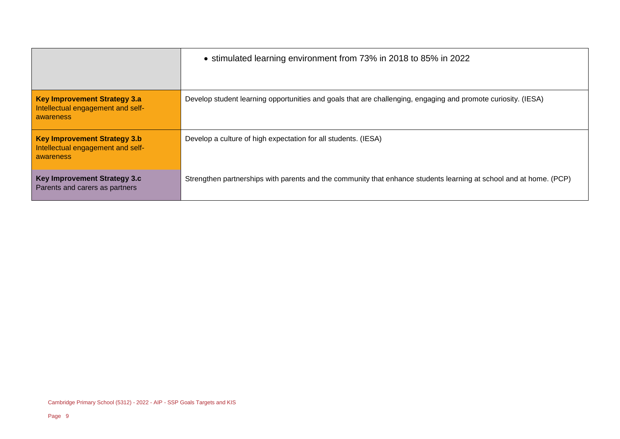|                                                                                       | • stimulated learning environment from 73% in 2018 to 85% in 2022                                                  |
|---------------------------------------------------------------------------------------|--------------------------------------------------------------------------------------------------------------------|
| <b>Key Improvement Strategy 3.a</b><br>Intellectual engagement and self-<br>awareness | Develop student learning opportunities and goals that are challenging, engaging and promote curiosity. (IESA)      |
| <b>Key Improvement Strategy 3.b</b><br>Intellectual engagement and self-<br>awareness | Develop a culture of high expectation for all students. (IESA)                                                     |
| Key Improvement Strategy 3.c<br>Parents and carers as partners                        | Strengthen partnerships with parents and the community that enhance students learning at school and at home. (PCP) |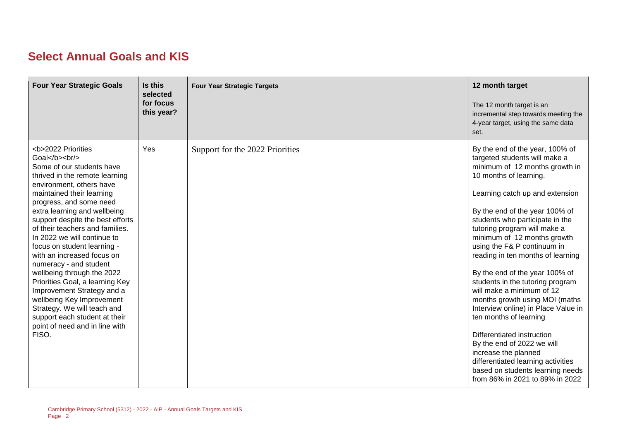# **Select Annual Goals and KIS**

| <b>Four Year Strategic Goals</b>                                                                       | Is this<br>selected<br>for focus<br>this year? | <b>Four Year Strategic Targets</b> | 12 month target<br>The 12 month target is an<br>incremental step towards meeting the<br>4-year target, using the same data<br>set.                                                                                                                                                                                                                                                                                                                                                                                                                                                                                                                                                                                                                                             |
|--------------------------------------------------------------------------------------------------------|------------------------------------------------|------------------------------------|--------------------------------------------------------------------------------------------------------------------------------------------------------------------------------------------------------------------------------------------------------------------------------------------------------------------------------------------------------------------------------------------------------------------------------------------------------------------------------------------------------------------------------------------------------------------------------------------------------------------------------------------------------------------------------------------------------------------------------------------------------------------------------|
| <b>2022 Priorities<br/>Goal</b><br><br>Some of our students have<br>thrived in the remote learning<br> | Yes                                            | Support for the 2022 Priorities    | By the end of the year, 100% of<br>targeted students will make a<br>minimum of 12 months growth in<br>10 months of learning.<br>Learning catch up and extension<br>By the end of the year 100% of<br>students who participate in the<br>tutoring program will make a<br>minimum of 12 months growth<br>using the F& P continuum in<br>reading in ten months of learning<br>By the end of the year 100% of<br>students in the tutoring program<br>will make a minimum of 12<br>months growth using MOI (maths<br>Interview online) in Place Value in<br>ten months of learning<br>Differentiated instruction<br>By the end of 2022 we will<br>increase the planned<br>differentiated learning activities<br>based on students learning needs<br>from 86% in 2021 to 89% in 2022 |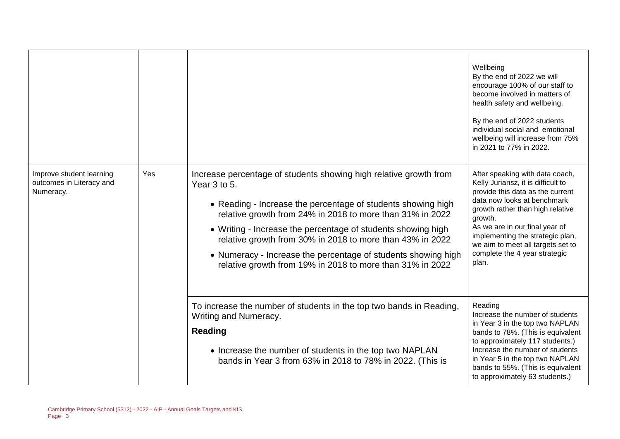|                                                                   |     |                                                                                                                                                                                                                                                                                                                                                                                                                                                                           | Wellbeing<br>By the end of 2022 we will<br>encourage 100% of our staff to<br>become involved in matters of<br>health safety and wellbeing.<br>By the end of 2022 students<br>individual social and emotional<br>wellbeing will increase from 75%<br>in 2021 to 77% in 2022.                                                                  |
|-------------------------------------------------------------------|-----|---------------------------------------------------------------------------------------------------------------------------------------------------------------------------------------------------------------------------------------------------------------------------------------------------------------------------------------------------------------------------------------------------------------------------------------------------------------------------|----------------------------------------------------------------------------------------------------------------------------------------------------------------------------------------------------------------------------------------------------------------------------------------------------------------------------------------------|
| Improve student learning<br>outcomes in Literacy and<br>Numeracy. | Yes | Increase percentage of students showing high relative growth from<br>Year 3 to 5.<br>• Reading - Increase the percentage of students showing high<br>relative growth from 24% in 2018 to more than 31% in 2022<br>• Writing - Increase the percentage of students showing high<br>relative growth from 30% in 2018 to more than 43% in 2022<br>• Numeracy - Increase the percentage of students showing high<br>relative growth from 19% in 2018 to more than 31% in 2022 | After speaking with data coach,<br>Kelly Juriansz, it is difficult to<br>provide this data as the current<br>data now looks at benchmark<br>growth rather than high relative<br>growth.<br>As we are in our final year of<br>implementing the strategic plan,<br>we aim to meet all targets set to<br>complete the 4 year strategic<br>plan. |
|                                                                   |     | To increase the number of students in the top two bands in Reading,<br>Writing and Numeracy.<br><b>Reading</b><br>• Increase the number of students in the top two NAPLAN<br>bands in Year 3 from 63% in 2018 to 78% in 2022. (This is                                                                                                                                                                                                                                    | Reading<br>Increase the number of students<br>in Year 3 in the top two NAPLAN<br>bands to 78%. (This is equivalent<br>to approximately 117 students.)<br>Increase the number of students<br>in Year 5 in the top two NAPLAN<br>bands to 55%. (This is equivalent<br>to approximately 63 students.)                                           |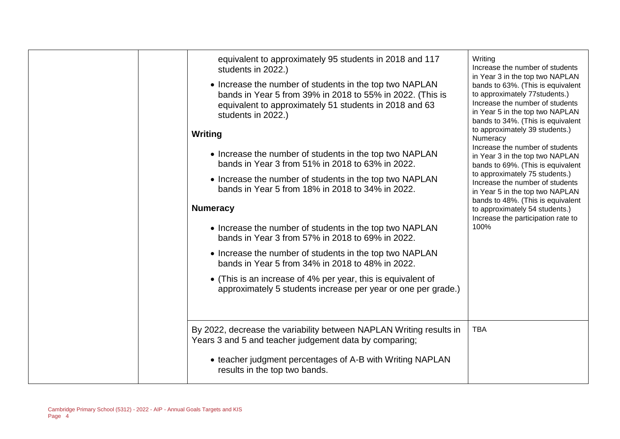| equivalent to approximately 95 students in 2018 and 117<br>students in 2022.)<br>• Increase the number of students in the top two NAPLAN<br>bands in Year 5 from 39% in 2018 to 55% in 2022. (This is<br>equivalent to approximately 51 students in 2018 and 63<br>students in 2022.)<br>Writing<br>• Increase the number of students in the top two NAPLAN<br>bands in Year 3 from 51% in 2018 to 63% in 2022.<br>• Increase the number of students in the top two NAPLAN<br>bands in Year 5 from 18% in 2018 to 34% in 2022.<br><b>Numeracy</b><br>• Increase the number of students in the top two NAPLAN<br>bands in Year 3 from 57% in 2018 to 69% in 2022.<br>• Increase the number of students in the top two NAPLAN<br>bands in Year 5 from 34% in 2018 to 48% in 2022.<br>• (This is an increase of 4% per year, this is equivalent of<br>approximately 5 students increase per year or one per grade.) | Writing<br>Increase the number of students<br>in Year 3 in the top two NAPLAN<br>bands to 63%. (This is equivalent<br>to approximately 77students.)<br>Increase the number of students<br>in Year 5 in the top two NAPLAN<br>bands to 34%. (This is equivalent<br>to approximately 39 students.)<br>Numeracy<br>Increase the number of students<br>in Year 3 in the top two NAPLAN<br>bands to 69%. (This is equivalent<br>to approximately 75 students.)<br>Increase the number of students<br>in Year 5 in the top two NAPLAN<br>bands to 48%. (This is equivalent<br>to approximately 54 students.)<br>Increase the participation rate to<br>100%<br><b>TBA</b> |
|------------------------------------------------------------------------------------------------------------------------------------------------------------------------------------------------------------------------------------------------------------------------------------------------------------------------------------------------------------------------------------------------------------------------------------------------------------------------------------------------------------------------------------------------------------------------------------------------------------------------------------------------------------------------------------------------------------------------------------------------------------------------------------------------------------------------------------------------------------------------------------------------------------------|--------------------------------------------------------------------------------------------------------------------------------------------------------------------------------------------------------------------------------------------------------------------------------------------------------------------------------------------------------------------------------------------------------------------------------------------------------------------------------------------------------------------------------------------------------------------------------------------------------------------------------------------------------------------|
| By 2022, decrease the variability between NAPLAN Writing results in<br>Years 3 and 5 and teacher judgement data by comparing;<br>• teacher judgment percentages of A-B with Writing NAPLAN<br>results in the top two bands.                                                                                                                                                                                                                                                                                                                                                                                                                                                                                                                                                                                                                                                                                      |                                                                                                                                                                                                                                                                                                                                                                                                                                                                                                                                                                                                                                                                    |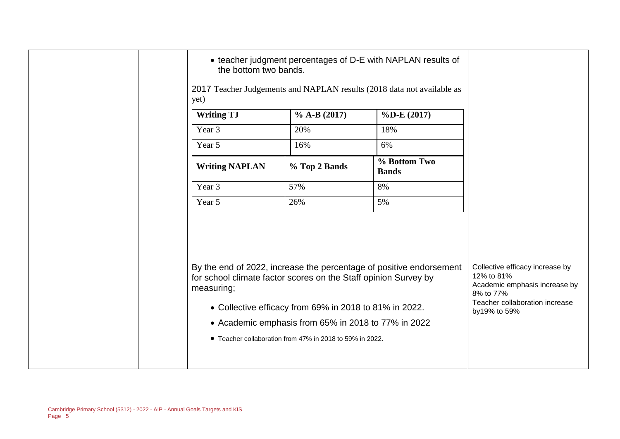| the bottom two bands.<br>yet)                                                 |                                                          | • teacher judgment percentages of D-E with NAPLAN results of<br>2017 Teacher Judgements and NAPLAN results (2018 data not available as |                                                                                                                                               |
|-------------------------------------------------------------------------------|----------------------------------------------------------|----------------------------------------------------------------------------------------------------------------------------------------|-----------------------------------------------------------------------------------------------------------------------------------------------|
| <b>Writing TJ</b>                                                             | $\%$ A-B (2017)                                          | $\%$ D-E (2017)                                                                                                                        |                                                                                                                                               |
| Year 3                                                                        | 20%                                                      | 18%                                                                                                                                    |                                                                                                                                               |
| Year 5                                                                        | 16%                                                      | 6%                                                                                                                                     |                                                                                                                                               |
| <b>Writing NAPLAN</b>                                                         | % Top 2 Bands                                            | % Bottom Two<br><b>Bands</b>                                                                                                           |                                                                                                                                               |
| Year 3                                                                        | 57%                                                      | 8%                                                                                                                                     |                                                                                                                                               |
| Year 5                                                                        | 26%                                                      | 5%                                                                                                                                     |                                                                                                                                               |
| for school climate factor scores on the Staff opinion Survey by<br>measuring; | • Collective efficacy from 69% in 2018 to 81% in 2022.   | By the end of 2022, increase the percentage of positive endorsement                                                                    | Collective efficacy increase by<br>12% to 81%<br>Academic emphasis increase by<br>8% to 77%<br>Teacher collaboration increase<br>by19% to 59% |
|                                                                               | • Academic emphasis from 65% in 2018 to 77% in 2022      |                                                                                                                                        |                                                                                                                                               |
|                                                                               | • Teacher collaboration from 47% in 2018 to 59% in 2022. |                                                                                                                                        |                                                                                                                                               |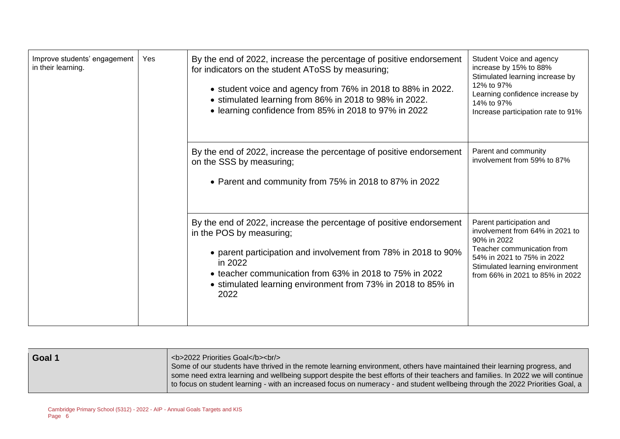| Improve students' engagement<br>in their learning. | Yes | By the end of 2022, increase the percentage of positive endorsement<br>for indicators on the student AToSS by measuring;<br>• student voice and agency from 76% in 2018 to 88% in 2022.<br>• stimulated learning from 86% in 2018 to 98% in 2022.<br>• learning confidence from 85% in 2018 to 97% in 2022      | Student Voice and agency<br>increase by 15% to 88%<br>Stimulated learning increase by<br>12% to 97%<br>Learning confidence increase by<br>14% to 97%<br>Increase participation rate to 91%                   |
|----------------------------------------------------|-----|-----------------------------------------------------------------------------------------------------------------------------------------------------------------------------------------------------------------------------------------------------------------------------------------------------------------|--------------------------------------------------------------------------------------------------------------------------------------------------------------------------------------------------------------|
|                                                    |     | By the end of 2022, increase the percentage of positive endorsement<br>on the SSS by measuring;<br>• Parent and community from 75% in 2018 to 87% in 2022                                                                                                                                                       | Parent and community<br>involvement from 59% to 87%                                                                                                                                                          |
|                                                    |     | By the end of 2022, increase the percentage of positive endorsement<br>in the POS by measuring;<br>• parent participation and involvement from 78% in 2018 to 90%<br>in 2022<br>• teacher communication from 63% in 2018 to 75% in 2022<br>• stimulated learning environment from 73% in 2018 to 85% in<br>2022 | Parent participation and<br>involvement from 64% in 2021 to<br>90% in 2022<br>Teacher communication from<br>54% in 2021 to 75% in 2022<br>Stimulated learning environment<br>from 66% in 2021 to 85% in 2022 |

| Goal 1 | <b>2022 Priorities Goal</b><br><br><br>Some of our students have thrived in the remote learning environment, others have maintained their learning progress, and<br>some need extra learning and wellbeing support despite the best efforts of their teachers and families. In 2022 we will continue<br>I to focus on student learning - with an increased focus on numeracy - and student wellbeing through the 2022 Priorities Goal, a |
|--------|------------------------------------------------------------------------------------------------------------------------------------------------------------------------------------------------------------------------------------------------------------------------------------------------------------------------------------------------------------------------------------------------------------------------------------------|
|--------|------------------------------------------------------------------------------------------------------------------------------------------------------------------------------------------------------------------------------------------------------------------------------------------------------------------------------------------------------------------------------------------------------------------------------------------|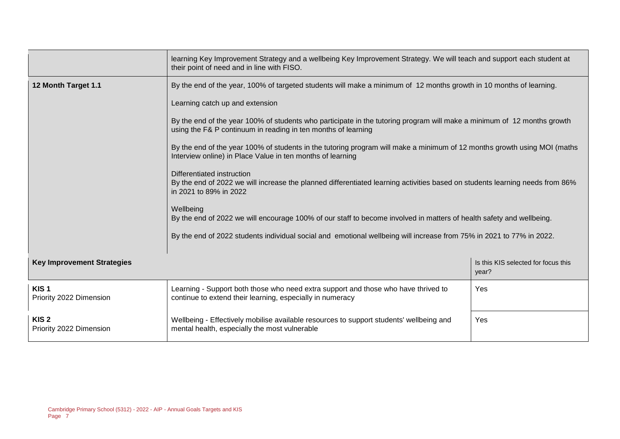|                                             | learning Key Improvement Strategy and a wellbeing Key Improvement Strategy. We will teach and support each student at<br>their point of need and in line with FISO.                      |                                              |  |  |
|---------------------------------------------|------------------------------------------------------------------------------------------------------------------------------------------------------------------------------------------|----------------------------------------------|--|--|
| 12 Month Target 1.1                         | By the end of the year, 100% of targeted students will make a minimum of 12 months growth in 10 months of learning.                                                                      |                                              |  |  |
|                                             | Learning catch up and extension                                                                                                                                                          |                                              |  |  |
|                                             | By the end of the year 100% of students who participate in the tutoring program will make a minimum of 12 months growth<br>using the F& P continuum in reading in ten months of learning |                                              |  |  |
|                                             | By the end of the year 100% of students in the tutoring program will make a minimum of 12 months growth using MOI (maths<br>Interview online) in Place Value in ten months of learning   |                                              |  |  |
|                                             | Differentiated instruction<br>By the end of 2022 we will increase the planned differentiated learning activities based on students learning needs from 86%<br>in 2021 to 89% in 2022     |                                              |  |  |
|                                             | Wellbeing<br>By the end of 2022 we will encourage 100% of our staff to become involved in matters of health safety and wellbeing.                                                        |                                              |  |  |
|                                             | By the end of 2022 students individual social and emotional wellbeing will increase from 75% in 2021 to 77% in 2022.                                                                     |                                              |  |  |
| <b>Key Improvement Strategies</b>           |                                                                                                                                                                                          | Is this KIS selected for focus this<br>year? |  |  |
| KIS <sub>1</sub><br>Priority 2022 Dimension | Learning - Support both those who need extra support and those who have thrived to<br>continue to extend their learning, especially in numeracy                                          | Yes                                          |  |  |
| KIS <sub>2</sub><br>Priority 2022 Dimension | Wellbeing - Effectively mobilise available resources to support students' wellbeing and<br>Yes<br>mental health, especially the most vulnerable                                          |                                              |  |  |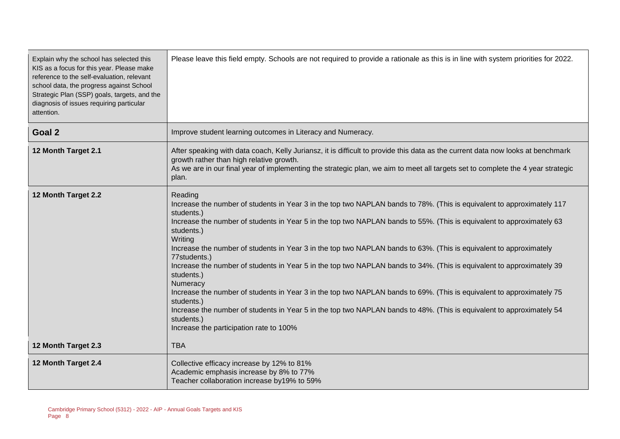| Explain why the school has selected this<br>KIS as a focus for this year. Please make<br>reference to the self-evaluation, relevant<br>school data, the progress against School<br>Strategic Plan (SSP) goals, targets, and the<br>diagnosis of issues requiring particular<br>attention. | Please leave this field empty. Schools are not required to provide a rationale as this is in line with system priorities for 2022.                                                                                                                                                                                                                                                                                                                                                                                                                                                                                                                                                                                                                                                                                                                                                                                  |
|-------------------------------------------------------------------------------------------------------------------------------------------------------------------------------------------------------------------------------------------------------------------------------------------|---------------------------------------------------------------------------------------------------------------------------------------------------------------------------------------------------------------------------------------------------------------------------------------------------------------------------------------------------------------------------------------------------------------------------------------------------------------------------------------------------------------------------------------------------------------------------------------------------------------------------------------------------------------------------------------------------------------------------------------------------------------------------------------------------------------------------------------------------------------------------------------------------------------------|
| Goal 2                                                                                                                                                                                                                                                                                    | Improve student learning outcomes in Literacy and Numeracy.                                                                                                                                                                                                                                                                                                                                                                                                                                                                                                                                                                                                                                                                                                                                                                                                                                                         |
| 12 Month Target 2.1                                                                                                                                                                                                                                                                       | After speaking with data coach, Kelly Juriansz, it is difficult to provide this data as the current data now looks at benchmark<br>growth rather than high relative growth.<br>As we are in our final year of implementing the strategic plan, we aim to meet all targets set to complete the 4 year strategic<br>plan.                                                                                                                                                                                                                                                                                                                                                                                                                                                                                                                                                                                             |
| 12 Month Target 2.2                                                                                                                                                                                                                                                                       | Reading<br>Increase the number of students in Year 3 in the top two NAPLAN bands to 78%. (This is equivalent to approximately 117<br>students.)<br>Increase the number of students in Year 5 in the top two NAPLAN bands to 55%. (This is equivalent to approximately 63<br>students.)<br>Writing<br>Increase the number of students in Year 3 in the top two NAPLAN bands to 63%. (This is equivalent to approximately<br>77students.)<br>Increase the number of students in Year 5 in the top two NAPLAN bands to 34%. (This is equivalent to approximately 39<br>students.)<br>Numeracy<br>Increase the number of students in Year 3 in the top two NAPLAN bands to 69%. (This is equivalent to approximately 75<br>students.)<br>Increase the number of students in Year 5 in the top two NAPLAN bands to 48%. (This is equivalent to approximately 54<br>students.)<br>Increase the participation rate to 100% |
| 12 Month Target 2.3                                                                                                                                                                                                                                                                       | <b>TBA</b>                                                                                                                                                                                                                                                                                                                                                                                                                                                                                                                                                                                                                                                                                                                                                                                                                                                                                                          |
| 12 Month Target 2.4                                                                                                                                                                                                                                                                       | Collective efficacy increase by 12% to 81%<br>Academic emphasis increase by 8% to 77%<br>Teacher collaboration increase by19% to 59%                                                                                                                                                                                                                                                                                                                                                                                                                                                                                                                                                                                                                                                                                                                                                                                |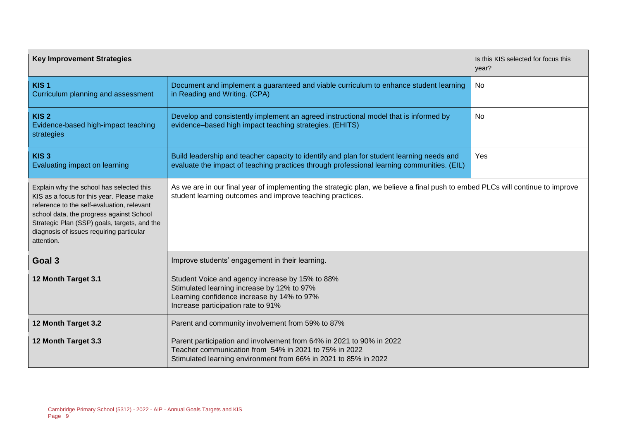| <b>Key Improvement Strategies</b>                                                                                                                                                                                                                                                         |                                                                                                                                                                                                  | Is this KIS selected for focus this<br>year? |  |  |
|-------------------------------------------------------------------------------------------------------------------------------------------------------------------------------------------------------------------------------------------------------------------------------------------|--------------------------------------------------------------------------------------------------------------------------------------------------------------------------------------------------|----------------------------------------------|--|--|
| KIS <sub>1</sub><br>Curriculum planning and assessment                                                                                                                                                                                                                                    | Document and implement a guaranteed and viable curriculum to enhance student learning<br>in Reading and Writing. (CPA)                                                                           | No                                           |  |  |
| KIS <sub>2</sub><br>Evidence-based high-impact teaching<br>strategies                                                                                                                                                                                                                     | Develop and consistently implement an agreed instructional model that is informed by<br>evidence-based high impact teaching strategies. (EHITS)                                                  | No                                           |  |  |
| KIS <sub>3</sub><br>Evaluating impact on learning                                                                                                                                                                                                                                         | Build leadership and teacher capacity to identify and plan for student learning needs and<br>evaluate the impact of teaching practices through professional learning communities. (EIL)          | Yes                                          |  |  |
| Explain why the school has selected this<br>KIS as a focus for this year. Please make<br>reference to the self-evaluation, relevant<br>school data, the progress against School<br>Strategic Plan (SSP) goals, targets, and the<br>diagnosis of issues requiring particular<br>attention. | As we are in our final year of implementing the strategic plan, we believe a final push to embed PLCs will continue to improve<br>student learning outcomes and improve teaching practices.      |                                              |  |  |
| Goal 3                                                                                                                                                                                                                                                                                    | Improve students' engagement in their learning.                                                                                                                                                  |                                              |  |  |
| 12 Month Target 3.1                                                                                                                                                                                                                                                                       | Student Voice and agency increase by 15% to 88%<br>Stimulated learning increase by 12% to 97%<br>Learning confidence increase by 14% to 97%<br>Increase participation rate to 91%                |                                              |  |  |
| 12 Month Target 3.2                                                                                                                                                                                                                                                                       | Parent and community involvement from 59% to 87%                                                                                                                                                 |                                              |  |  |
| 12 Month Target 3.3                                                                                                                                                                                                                                                                       | Parent participation and involvement from 64% in 2021 to 90% in 2022<br>Teacher communication from 54% in 2021 to 75% in 2022<br>Stimulated learning environment from 66% in 2021 to 85% in 2022 |                                              |  |  |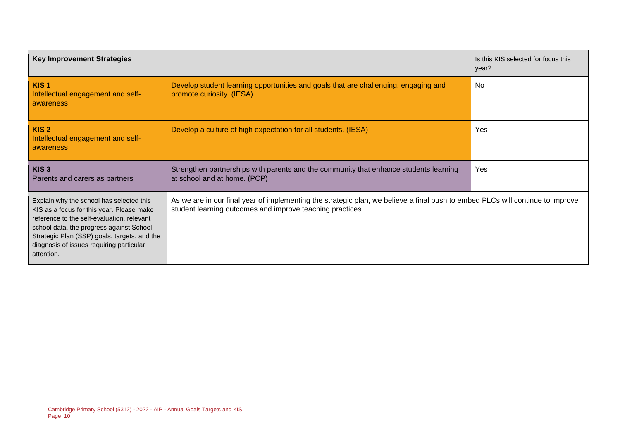| <b>Key Improvement Strategies</b>                                                                                                                                                                                                                                                         |                                                                                                                       | Is this KIS selected for focus this<br>year?                                                                                   |  |
|-------------------------------------------------------------------------------------------------------------------------------------------------------------------------------------------------------------------------------------------------------------------------------------------|-----------------------------------------------------------------------------------------------------------------------|--------------------------------------------------------------------------------------------------------------------------------|--|
| KIS <sub>1</sub><br>Intellectual engagement and self-<br>awareness                                                                                                                                                                                                                        | Develop student learning opportunities and goals that are challenging, engaging and<br>promote curiosity. (IESA)      | <b>No</b>                                                                                                                      |  |
| KIS <sub>2</sub><br>Intellectual engagement and self-<br>awareness                                                                                                                                                                                                                        | Develop a culture of high expectation for all students. (IESA)                                                        | Yes                                                                                                                            |  |
| KIS <sub>3</sub><br>Parents and carers as partners                                                                                                                                                                                                                                        | Strengthen partnerships with parents and the community that enhance students learning<br>at school and at home. (PCP) | <b>Yes</b>                                                                                                                     |  |
| Explain why the school has selected this<br>KIS as a focus for this year. Please make<br>reference to the self-evaluation, relevant<br>school data, the progress against School<br>Strategic Plan (SSP) goals, targets, and the<br>diagnosis of issues requiring particular<br>attention. | student learning outcomes and improve teaching practices.                                                             | As we are in our final year of implementing the strategic plan, we believe a final push to embed PLCs will continue to improve |  |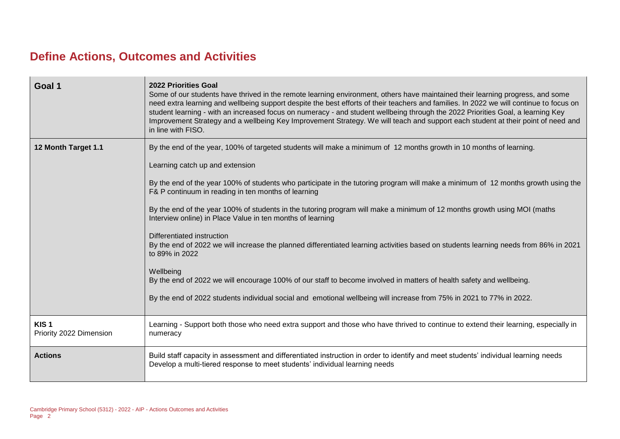# **Define Actions, Outcomes and Activities**

| Goal 1                                      | <b>2022 Priorities Goal</b><br>Some of our students have thrived in the remote learning environment, others have maintained their learning progress, and some<br>need extra learning and wellbeing support despite the best efforts of their teachers and families. In 2022 we will continue to focus on<br>student learning - with an increased focus on numeracy - and student wellbeing through the 2022 Priorities Goal, a learning Key<br>Improvement Strategy and a wellbeing Key Improvement Strategy. We will teach and support each student at their point of need and<br>in line with FISO.                                                                                                                                                                                                                                                                                                                                                                                             |
|---------------------------------------------|---------------------------------------------------------------------------------------------------------------------------------------------------------------------------------------------------------------------------------------------------------------------------------------------------------------------------------------------------------------------------------------------------------------------------------------------------------------------------------------------------------------------------------------------------------------------------------------------------------------------------------------------------------------------------------------------------------------------------------------------------------------------------------------------------------------------------------------------------------------------------------------------------------------------------------------------------------------------------------------------------|
| 12 Month Target 1.1                         | By the end of the year, 100% of targeted students will make a minimum of 12 months growth in 10 months of learning.<br>Learning catch up and extension<br>By the end of the year 100% of students who participate in the tutoring program will make a minimum of 12 months growth using the<br>F& P continuum in reading in ten months of learning<br>By the end of the year 100% of students in the tutoring program will make a minimum of 12 months growth using MOI (maths<br>Interview online) in Place Value in ten months of learning<br>Differentiated instruction<br>By the end of 2022 we will increase the planned differentiated learning activities based on students learning needs from 86% in 2021<br>to 89% in 2022<br>Wellbeing<br>By the end of 2022 we will encourage 100% of our staff to become involved in matters of health safety and wellbeing.<br>By the end of 2022 students individual social and emotional wellbeing will increase from 75% in 2021 to 77% in 2022. |
| KIS <sub>1</sub><br>Priority 2022 Dimension | Learning - Support both those who need extra support and those who have thrived to continue to extend their learning, especially in<br>numeracy                                                                                                                                                                                                                                                                                                                                                                                                                                                                                                                                                                                                                                                                                                                                                                                                                                                   |
| <b>Actions</b>                              | Build staff capacity in assessment and differentiated instruction in order to identify and meet students' individual learning needs<br>Develop a multi-tiered response to meet students' individual learning needs                                                                                                                                                                                                                                                                                                                                                                                                                                                                                                                                                                                                                                                                                                                                                                                |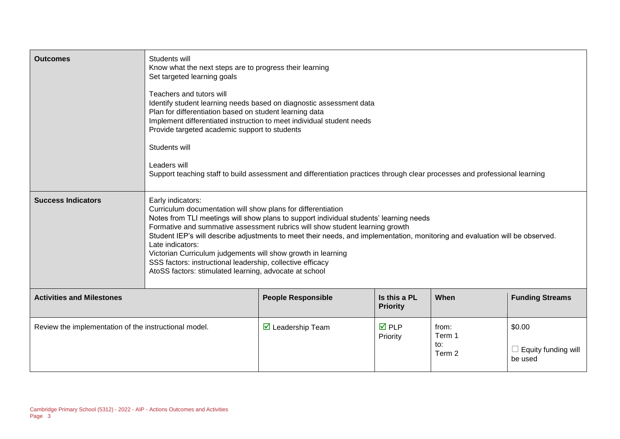| <b>Outcomes</b>                                       | Students will<br>Know what the next steps are to progress their learning<br>Set targeted learning goals<br>Teachers and tutors will<br>Identify student learning needs based on diagnostic assessment data<br>Plan for differentiation based on student learning data<br>Implement differentiated instruction to meet individual student needs<br>Provide targeted academic support to students<br>Students will<br>Leaders will<br>Support teaching staff to build assessment and differentiation practices through clear processes and professional learning                                          |                             |                                 |                                  |                                                 |  |
|-------------------------------------------------------|---------------------------------------------------------------------------------------------------------------------------------------------------------------------------------------------------------------------------------------------------------------------------------------------------------------------------------------------------------------------------------------------------------------------------------------------------------------------------------------------------------------------------------------------------------------------------------------------------------|-----------------------------|---------------------------------|----------------------------------|-------------------------------------------------|--|
| <b>Success Indicators</b>                             | Early indicators:<br>Curriculum documentation will show plans for differentiation<br>Notes from TLI meetings will show plans to support individual students' learning needs<br>Formative and summative assessment rubrics will show student learning growth<br>Student IEP's will describe adjustments to meet their needs, and implementation, monitoring and evaluation will be observed.<br>Late indicators:<br>Victorian Curriculum judgements will show growth in learning<br>SSS factors: instructional leadership, collective efficacy<br>AtoSS factors: stimulated learning, advocate at school |                             |                                 |                                  |                                                 |  |
| <b>Activities and Milestones</b>                      |                                                                                                                                                                                                                                                                                                                                                                                                                                                                                                                                                                                                         | <b>People Responsible</b>   | Is this a PL<br><b>Priority</b> | When                             | <b>Funding Streams</b>                          |  |
| Review the implementation of the instructional model. |                                                                                                                                                                                                                                                                                                                                                                                                                                                                                                                                                                                                         | $\boxtimes$ Leadership Team | $\overline{M}$ PLP<br>Priority  | from:<br>Term 1<br>to:<br>Term 2 | \$0.00<br>$\Box$ Equity funding will<br>be used |  |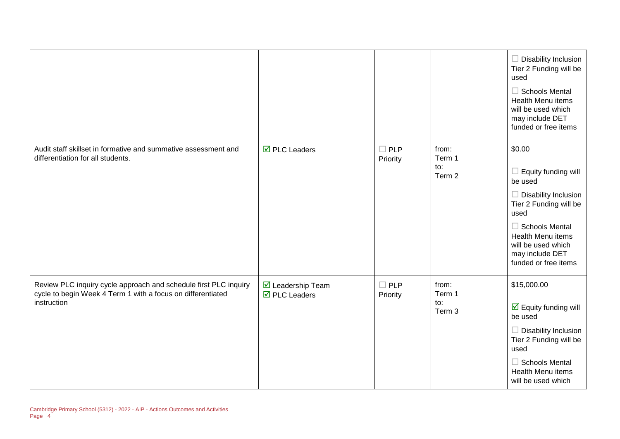|                                                                                                                                                |                                                                               |                           |                                  | $\Box$ Disability Inclusion<br>Tier 2 Funding will be<br>used<br>$\Box$ Schools Mental<br><b>Health Menu items</b><br>will be used which<br>may include DET<br>funded or free items                                             |
|------------------------------------------------------------------------------------------------------------------------------------------------|-------------------------------------------------------------------------------|---------------------------|----------------------------------|---------------------------------------------------------------------------------------------------------------------------------------------------------------------------------------------------------------------------------|
| Audit staff skillset in formative and summative assessment and<br>differentiation for all students.                                            | $\overline{\boxtimes}$ PLC Leaders                                            | $\square$ PLP<br>Priority | from:<br>Term 1<br>to:<br>Term 2 | \$0.00<br>$\Box$ Equity funding will<br>be used<br>$\Box$ Disability Inclusion<br>Tier 2 Funding will be<br>used<br>$\Box$ Schools Mental<br>Health Menu items<br>will be used which<br>may include DET<br>funded or free items |
| Review PLC inquiry cycle approach and schedule first PLC inquiry<br>cycle to begin Week 4 Term 1 with a focus on differentiated<br>instruction | $\overline{\mathbf{M}}$ Leadership Team<br>$\overline{\boxtimes}$ PLC Leaders | $\square$ PLP<br>Priority | from:<br>Term 1<br>to:<br>Term 3 | \$15,000.00<br>$\boxdot$ Equity funding will<br>be used<br>$\Box$ Disability Inclusion<br>Tier 2 Funding will be<br>used<br>$\Box$ Schools Mental<br><b>Health Menu items</b><br>will be used which                             |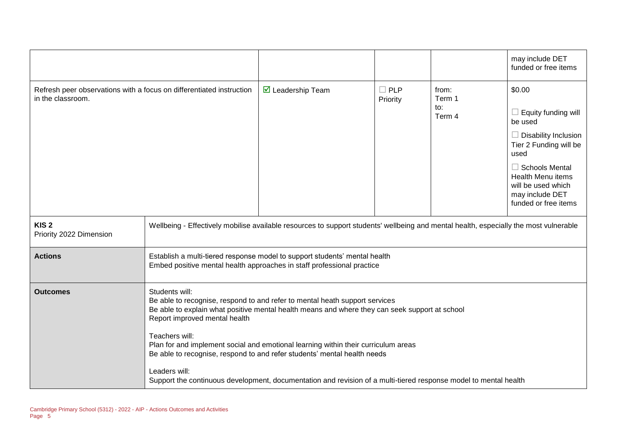|                                                                                           |                                                                                                                                                                                                                                                                                                                                                                                                                                                                                                                                                           |                                                                                                                                                      |                           |                                  | may include DET<br>funded or free items                                                                                                                                                                                                |
|-------------------------------------------------------------------------------------------|-----------------------------------------------------------------------------------------------------------------------------------------------------------------------------------------------------------------------------------------------------------------------------------------------------------------------------------------------------------------------------------------------------------------------------------------------------------------------------------------------------------------------------------------------------------|------------------------------------------------------------------------------------------------------------------------------------------------------|---------------------------|----------------------------------|----------------------------------------------------------------------------------------------------------------------------------------------------------------------------------------------------------------------------------------|
| Refresh peer observations with a focus on differentiated instruction<br>in the classroom. |                                                                                                                                                                                                                                                                                                                                                                                                                                                                                                                                                           | $\triangleright$ Leadership Team                                                                                                                     | $\square$ PLP<br>Priority | from:<br>Term 1<br>to:<br>Term 4 | \$0.00<br>$\Box$ Equity funding will<br>be used<br>$\Box$ Disability Inclusion<br>Tier 2 Funding will be<br>used<br>$\Box$ Schools Mental<br><b>Health Menu items</b><br>will be used which<br>may include DET<br>funded or free items |
| KIS <sub>2</sub><br>Priority 2022 Dimension                                               |                                                                                                                                                                                                                                                                                                                                                                                                                                                                                                                                                           | Wellbeing - Effectively mobilise available resources to support students' wellbeing and mental health, especially the most vulnerable                |                           |                                  |                                                                                                                                                                                                                                        |
| <b>Actions</b>                                                                            |                                                                                                                                                                                                                                                                                                                                                                                                                                                                                                                                                           | Establish a multi-tiered response model to support students' mental health<br>Embed positive mental health approaches in staff professional practice |                           |                                  |                                                                                                                                                                                                                                        |
| <b>Outcomes</b>                                                                           | Students will:<br>Be able to recognise, respond to and refer to mental heath support services<br>Be able to explain what positive mental health means and where they can seek support at school<br>Report improved mental health<br>Teachers will:<br>Plan for and implement social and emotional learning within their curriculum areas<br>Be able to recognise, respond to and refer students' mental health needs<br>Leaders will:<br>Support the continuous development, documentation and revision of a multi-tiered response model to mental health |                                                                                                                                                      |                           |                                  |                                                                                                                                                                                                                                        |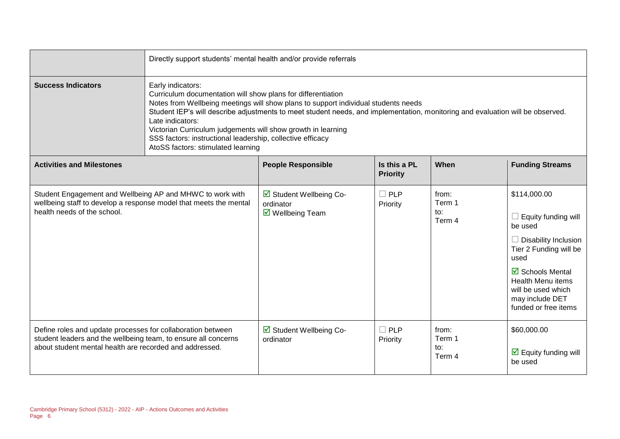|                                                                                                                                                                                          | Directly support students' mental health and/or provide referrals                                                                                                                                                                                                                                                                                                                                                                                                                                 |                                                                                |                                 |                                  |                                                                                                                                                                                                                                                   |  |
|------------------------------------------------------------------------------------------------------------------------------------------------------------------------------------------|---------------------------------------------------------------------------------------------------------------------------------------------------------------------------------------------------------------------------------------------------------------------------------------------------------------------------------------------------------------------------------------------------------------------------------------------------------------------------------------------------|--------------------------------------------------------------------------------|---------------------------------|----------------------------------|---------------------------------------------------------------------------------------------------------------------------------------------------------------------------------------------------------------------------------------------------|--|
| <b>Success Indicators</b>                                                                                                                                                                | Early indicators:<br>Curriculum documentation will show plans for differentiation<br>Notes from Wellbeing meetings will show plans to support individual students needs<br>Student IEP's will describe adjustments to meet student needs, and implementation, monitoring and evaluation will be observed.<br>Late indicators:<br>Victorian Curriculum judgements will show growth in learning<br>SSS factors: instructional leadership, collective efficacy<br>AtoSS factors: stimulated learning |                                                                                |                                 |                                  |                                                                                                                                                                                                                                                   |  |
| <b>Activities and Milestones</b>                                                                                                                                                         |                                                                                                                                                                                                                                                                                                                                                                                                                                                                                                   | <b>People Responsible</b>                                                      | Is this a PL<br><b>Priority</b> | When                             | <b>Funding Streams</b>                                                                                                                                                                                                                            |  |
| Student Engagement and Wellbeing AP and MHWC to work with<br>wellbeing staff to develop a response model that meets the mental<br>health needs of the school.                            |                                                                                                                                                                                                                                                                                                                                                                                                                                                                                                   | ☑ Student Wellbeing Co-<br>ordinator<br>$\overline{\mathbf{y}}$ Wellbeing Team | $\square$ PLP<br>Priority       | from:<br>Term 1<br>to:<br>Term 4 | \$114,000.00<br>$\Box$ Equity funding will<br>be used<br>$\Box$ Disability Inclusion<br>Tier 2 Funding will be<br>used<br>$\boxtimes$ Schools Mental<br><b>Health Menu items</b><br>will be used which<br>may include DET<br>funded or free items |  |
| Define roles and update processes for collaboration between<br>student leaders and the wellbeing team, to ensure all concerns<br>about student mental health are recorded and addressed. |                                                                                                                                                                                                                                                                                                                                                                                                                                                                                                   | Student Wellbeing Co-<br>ordinator                                             | $\Box$ PLP<br>Priority          | from:<br>Term 1<br>to:<br>Term 4 | \$60,000.00<br>$\triangleright$ Equity funding will<br>be used                                                                                                                                                                                    |  |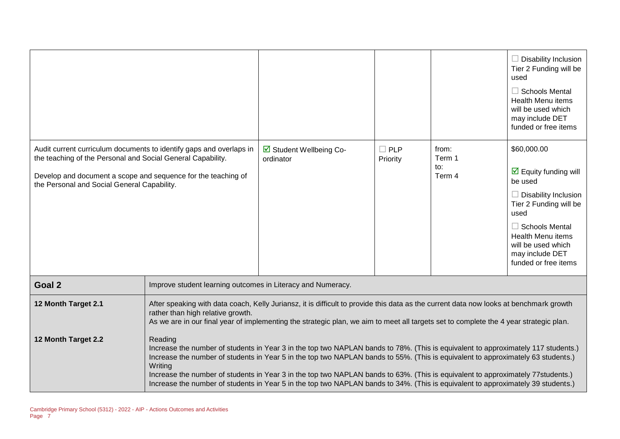|                                                                                                                                                                             |                                                                                                                                                                                                                                                                                                                                                                                                                                                                                                                                                                     |                                      |                        |                                             | $\Box$ Disability Inclusion<br>Tier 2 Funding will be<br>used<br>$\Box$ Schools Mental<br><b>Health Menu items</b><br>will be used which<br>may include DET<br>funded or free items                                                                   |
|-----------------------------------------------------------------------------------------------------------------------------------------------------------------------------|---------------------------------------------------------------------------------------------------------------------------------------------------------------------------------------------------------------------------------------------------------------------------------------------------------------------------------------------------------------------------------------------------------------------------------------------------------------------------------------------------------------------------------------------------------------------|--------------------------------------|------------------------|---------------------------------------------|-------------------------------------------------------------------------------------------------------------------------------------------------------------------------------------------------------------------------------------------------------|
| the teaching of the Personal and Social General Capability.<br>Develop and document a scope and sequence for the teaching of<br>the Personal and Social General Capability. | Audit current curriculum documents to identify gaps and overlaps in                                                                                                                                                                                                                                                                                                                                                                                                                                                                                                 | ☑ Student Wellbeing Co-<br>ordinator | $\Box$ PLP<br>Priority | from:<br>Term 1<br>$\mathsf{to}:$<br>Term 4 | \$60,000.00<br>$\triangleright$ Equity funding will<br>be used<br>$\Box$ Disability Inclusion<br>Tier 2 Funding will be<br>used<br>$\Box$ Schools Mental<br><b>Health Menu items</b><br>will be used which<br>may include DET<br>funded or free items |
| Goal 2                                                                                                                                                                      | Improve student learning outcomes in Literacy and Numeracy.                                                                                                                                                                                                                                                                                                                                                                                                                                                                                                         |                                      |                        |                                             |                                                                                                                                                                                                                                                       |
| 12 Month Target 2.1                                                                                                                                                         | After speaking with data coach, Kelly Juriansz, it is difficult to provide this data as the current data now looks at benchmark growth<br>rather than high relative growth.<br>As we are in our final year of implementing the strategic plan, we aim to meet all targets set to complete the 4 year strategic plan.                                                                                                                                                                                                                                                |                                      |                        |                                             |                                                                                                                                                                                                                                                       |
| 12 Month Target 2.2                                                                                                                                                         | Reading<br>Increase the number of students in Year 3 in the top two NAPLAN bands to 78%. (This is equivalent to approximately 117 students.)<br>Increase the number of students in Year 5 in the top two NAPLAN bands to 55%. (This is equivalent to approximately 63 students.)<br>Writing<br>Increase the number of students in Year 3 in the top two NAPLAN bands to 63%. (This is equivalent to approximately 77 students.)<br>Increase the number of students in Year 5 in the top two NAPLAN bands to 34%. (This is equivalent to approximately 39 students.) |                                      |                        |                                             |                                                                                                                                                                                                                                                       |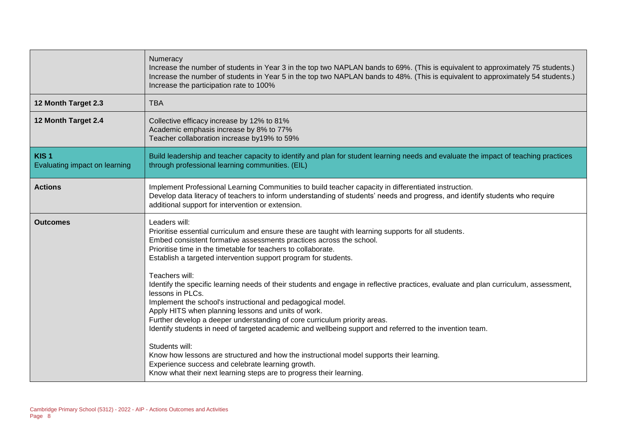|                                                   | Numeracy<br>Increase the number of students in Year 3 in the top two NAPLAN bands to 69%. (This is equivalent to approximately 75 students.)<br>Increase the number of students in Year 5 in the top two NAPLAN bands to 48%. (This is equivalent to approximately 54 students.)<br>Increase the participation rate to 100%                                                                                                                                                                                    |
|---------------------------------------------------|----------------------------------------------------------------------------------------------------------------------------------------------------------------------------------------------------------------------------------------------------------------------------------------------------------------------------------------------------------------------------------------------------------------------------------------------------------------------------------------------------------------|
| 12 Month Target 2.3                               | <b>TBA</b>                                                                                                                                                                                                                                                                                                                                                                                                                                                                                                     |
| 12 Month Target 2.4                               | Collective efficacy increase by 12% to 81%<br>Academic emphasis increase by 8% to 77%<br>Teacher collaboration increase by19% to 59%                                                                                                                                                                                                                                                                                                                                                                           |
| KIS <sub>1</sub><br>Evaluating impact on learning | Build leadership and teacher capacity to identify and plan for student learning needs and evaluate the impact of teaching practices<br>through professional learning communities. (EIL)                                                                                                                                                                                                                                                                                                                        |
| <b>Actions</b>                                    | Implement Professional Learning Communities to build teacher capacity in differentiated instruction.<br>Develop data literacy of teachers to inform understanding of students' needs and progress, and identify students who require<br>additional support for intervention or extension.                                                                                                                                                                                                                      |
| <b>Outcomes</b>                                   | Leaders will:<br>Prioritise essential curriculum and ensure these are taught with learning supports for all students.<br>Embed consistent formative assessments practices across the school.<br>Prioritise time in the timetable for teachers to collaborate.<br>Establish a targeted intervention support program for students.<br>Teachers will:<br>Identify the specific learning needs of their students and engage in reflective practices, evaluate and plan curriculum, assessment,<br>lessons in PLCs. |
|                                                   | Implement the school's instructional and pedagogical model.<br>Apply HITS when planning lessons and units of work.<br>Further develop a deeper understanding of core curriculum priority areas.<br>Identify students in need of targeted academic and wellbeing support and referred to the invention team.<br>Students will:                                                                                                                                                                                  |
|                                                   | Know how lessons are structured and how the instructional model supports their learning.<br>Experience success and celebrate learning growth.<br>Know what their next learning steps are to progress their learning.                                                                                                                                                                                                                                                                                           |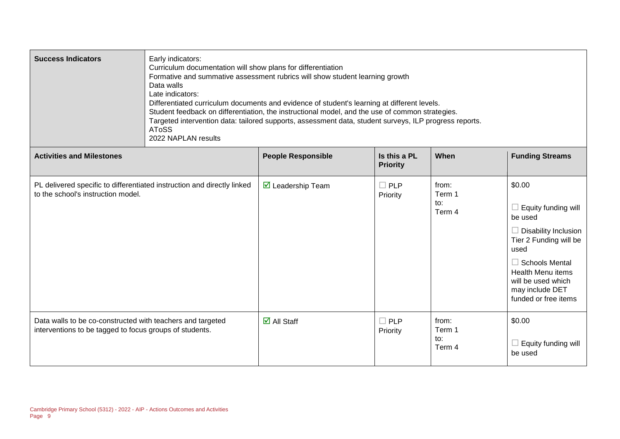| <b>Success Indicators</b>                                                                                             | Early indicators:<br>Curriculum documentation will show plans for differentiation<br>Formative and summative assessment rubrics will show student learning growth<br>Data walls<br>Late indicators:<br>Differentiated curriculum documents and evidence of student's learning at different levels.<br>Student feedback on differentiation, the instructional model, and the use of common strategies.<br>Targeted intervention data: tailored supports, assessment data, student surveys, ILP progress reports.<br><b>AToSS</b><br>2022 NAPLAN results |                                   |                                 |                                  |                                                                                                                                                                                                                                        |  |
|-----------------------------------------------------------------------------------------------------------------------|--------------------------------------------------------------------------------------------------------------------------------------------------------------------------------------------------------------------------------------------------------------------------------------------------------------------------------------------------------------------------------------------------------------------------------------------------------------------------------------------------------------------------------------------------------|-----------------------------------|---------------------------------|----------------------------------|----------------------------------------------------------------------------------------------------------------------------------------------------------------------------------------------------------------------------------------|--|
| <b>Activities and Milestones</b>                                                                                      |                                                                                                                                                                                                                                                                                                                                                                                                                                                                                                                                                        | <b>People Responsible</b>         | Is this a PL<br><b>Priority</b> | When                             | <b>Funding Streams</b>                                                                                                                                                                                                                 |  |
| to the school's instruction model.                                                                                    | PL delivered specific to differentiated instruction and directly linked                                                                                                                                                                                                                                                                                                                                                                                                                                                                                | $\triangleright$ Leadership Team  | $\Box$ PLP<br>Priority          | from:<br>Term 1<br>to:<br>Term 4 | \$0.00<br>$\Box$ Equity funding will<br>be used<br>$\Box$ Disability Inclusion<br>Tier 2 Funding will be<br>used<br>$\Box$ Schools Mental<br><b>Health Menu items</b><br>will be used which<br>may include DET<br>funded or free items |  |
| Data walls to be co-constructed with teachers and targeted<br>interventions to be tagged to focus groups of students. |                                                                                                                                                                                                                                                                                                                                                                                                                                                                                                                                                        | $\overline{\mathbf{M}}$ All Staff | $\Box$ PLP<br>Priority          | from:<br>Term 1<br>to:<br>Term 4 | \$0.00<br>$\Box$ Equity funding will<br>be used                                                                                                                                                                                        |  |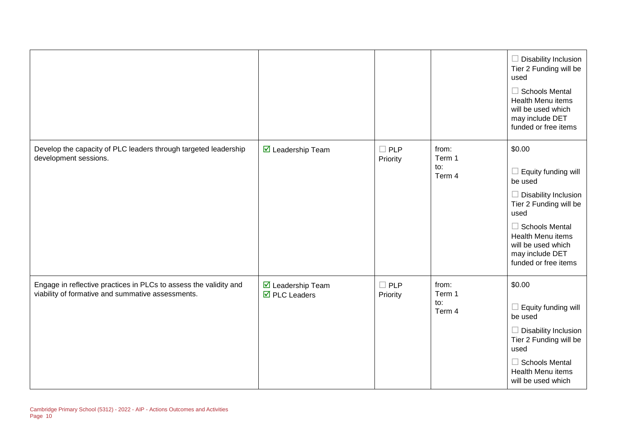|                                                                                                                        |                                                         |                           |                                  | $\Box$ Disability Inclusion<br>Tier 2 Funding will be<br>used<br>$\Box$ Schools Mental<br><b>Health Menu items</b><br>will be used which<br>may include DET<br>funded or free items                                             |
|------------------------------------------------------------------------------------------------------------------------|---------------------------------------------------------|---------------------------|----------------------------------|---------------------------------------------------------------------------------------------------------------------------------------------------------------------------------------------------------------------------------|
| Develop the capacity of PLC leaders through targeted leadership<br>development sessions.                               | ☑ Leadership Team                                       | $\Box$ PLP<br>Priority    | from:<br>Term 1<br>to:<br>Term 4 | \$0.00<br>$\Box$ Equity funding will<br>be used<br>$\Box$ Disability Inclusion<br>Tier 2 Funding will be<br>used<br>$\Box$ Schools Mental<br>Health Menu items<br>will be used which<br>may include DET<br>funded or free items |
| Engage in reflective practices in PLCs to assess the validity and<br>viability of formative and summative assessments. | ■ Leadership Team<br>$\overline{\boxtimes}$ PLC Leaders | $\square$ PLP<br>Priority | from:<br>Term 1<br>to:<br>Term 4 | \$0.00<br>$\Box$ Equity funding will<br>be used<br>$\Box$ Disability Inclusion<br>Tier 2 Funding will be<br>used<br>$\Box$ Schools Mental<br><b>Health Menu items</b><br>will be used which                                     |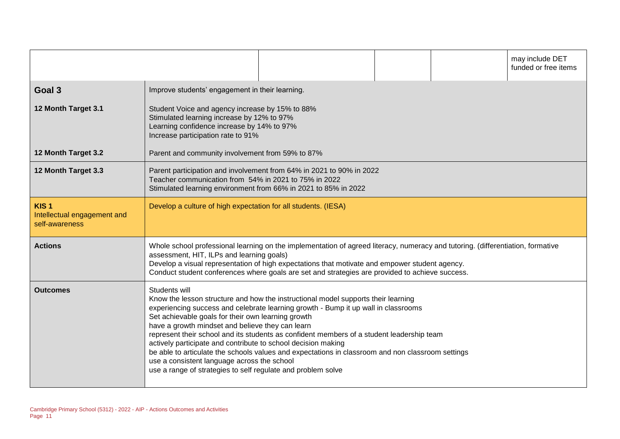|                                                                   |                                                                                                                                                                                                                                                                                                                                                                                   |                                                                                                                                                                                                                                                                                                                                                                           |  |  | may include DET<br>funded or free items |  |
|-------------------------------------------------------------------|-----------------------------------------------------------------------------------------------------------------------------------------------------------------------------------------------------------------------------------------------------------------------------------------------------------------------------------------------------------------------------------|---------------------------------------------------------------------------------------------------------------------------------------------------------------------------------------------------------------------------------------------------------------------------------------------------------------------------------------------------------------------------|--|--|-----------------------------------------|--|
| Goal 3                                                            | Improve students' engagement in their learning.                                                                                                                                                                                                                                                                                                                                   |                                                                                                                                                                                                                                                                                                                                                                           |  |  |                                         |  |
| 12 Month Target 3.1                                               | Student Voice and agency increase by 15% to 88%<br>Stimulated learning increase by 12% to 97%<br>Learning confidence increase by 14% to 97%<br>Increase participation rate to 91%                                                                                                                                                                                                 |                                                                                                                                                                                                                                                                                                                                                                           |  |  |                                         |  |
| 12 Month Target 3.2                                               | Parent and community involvement from 59% to 87%                                                                                                                                                                                                                                                                                                                                  |                                                                                                                                                                                                                                                                                                                                                                           |  |  |                                         |  |
| 12 Month Target 3.3                                               | Parent participation and involvement from 64% in 2021 to 90% in 2022<br>Teacher communication from 54% in 2021 to 75% in 2022<br>Stimulated learning environment from 66% in 2021 to 85% in 2022                                                                                                                                                                                  |                                                                                                                                                                                                                                                                                                                                                                           |  |  |                                         |  |
| KIS <sub>1</sub><br>Intellectual engagement and<br>self-awareness | Develop a culture of high expectation for all students. (IESA)                                                                                                                                                                                                                                                                                                                    |                                                                                                                                                                                                                                                                                                                                                                           |  |  |                                         |  |
| <b>Actions</b>                                                    | Whole school professional learning on the implementation of agreed literacy, numeracy and tutoring. (differentiation, formative<br>assessment, HIT, ILPs and learning goals)<br>Develop a visual representation of high expectations that motivate and empower student agency.<br>Conduct student conferences where goals are set and strategies are provided to achieve success. |                                                                                                                                                                                                                                                                                                                                                                           |  |  |                                         |  |
| <b>Outcomes</b>                                                   | Students will<br>Set achievable goals for their own learning growth<br>have a growth mindset and believe they can learn<br>actively participate and contribute to school decision making<br>use a consistent language across the school<br>use a range of strategies to self regulate and problem solve                                                                           | Know the lesson structure and how the instructional model supports their learning<br>experiencing success and celebrate learning growth - Bump it up wall in classrooms<br>represent their school and its students as confident members of a student leadership team<br>be able to articulate the schools values and expectations in classroom and non classroom settings |  |  |                                         |  |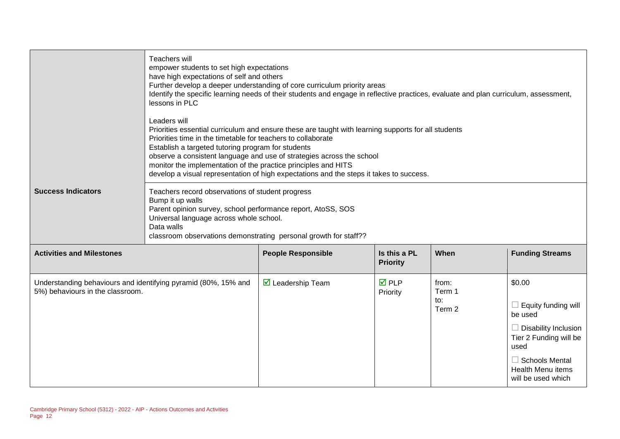|                                                                                                    | Teachers will<br>empower students to set high expectations<br>have high expectations of self and others<br>Further develop a deeper understanding of core curriculum priority areas<br>Identify the specific learning needs of their students and engage in reflective practices, evaluate and plan curriculum, assessment,<br>lessons in PLC<br>Leaders will<br>Priorities essential curriculum and ensure these are taught with learning supports for all students<br>Priorities time in the timetable for teachers to collaborate<br>Establish a targeted tutoring program for students<br>observe a consistent language and use of strategies across the school<br>monitor the implementation of the practice principles and HITS<br>develop a visual representation of high expectations and the steps it takes to success. |                             |                                 |                                  |                                                                                                                                                                                      |
|----------------------------------------------------------------------------------------------------|----------------------------------------------------------------------------------------------------------------------------------------------------------------------------------------------------------------------------------------------------------------------------------------------------------------------------------------------------------------------------------------------------------------------------------------------------------------------------------------------------------------------------------------------------------------------------------------------------------------------------------------------------------------------------------------------------------------------------------------------------------------------------------------------------------------------------------|-----------------------------|---------------------------------|----------------------------------|--------------------------------------------------------------------------------------------------------------------------------------------------------------------------------------|
| <b>Success Indicators</b>                                                                          | Teachers record observations of student progress<br>Bump it up walls<br>Parent opinion survey, school performance report, AtoSS, SOS<br>Universal language across whole school.<br>Data walls<br>classroom observations demonstrating personal growth for staff??                                                                                                                                                                                                                                                                                                                                                                                                                                                                                                                                                                |                             |                                 |                                  |                                                                                                                                                                                      |
| <b>Activities and Milestones</b>                                                                   |                                                                                                                                                                                                                                                                                                                                                                                                                                                                                                                                                                                                                                                                                                                                                                                                                                  | <b>People Responsible</b>   | Is this a PL<br><b>Priority</b> | When                             | <b>Funding Streams</b>                                                                                                                                                               |
| Understanding behaviours and identifying pyramid (80%, 15% and<br>5%) behaviours in the classroom. |                                                                                                                                                                                                                                                                                                                                                                                                                                                                                                                                                                                                                                                                                                                                                                                                                                  | $\boxtimes$ Leadership Team | <b>☑</b> PLP<br>Priority        | from:<br>Term 1<br>to:<br>Term 2 | \$0.00<br>Equity funding will<br>be used<br><b>Disability Inclusion</b><br>Tier 2 Funding will be<br>used<br>$\Box$ Schools Mental<br><b>Health Menu items</b><br>will be used which |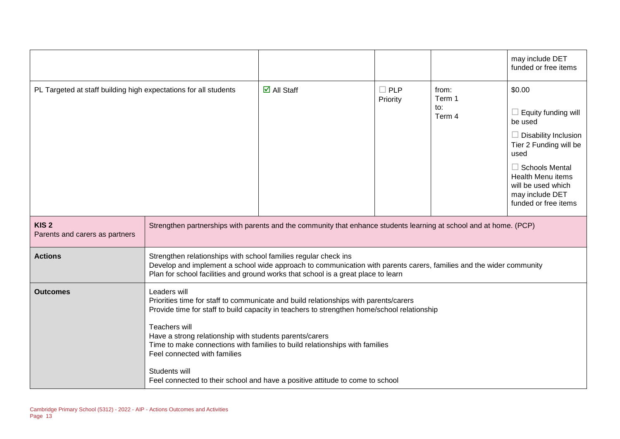|                                                                  |                                                                                                                                                                                                                                                                                                                                                                                                                                                                                                  |                                                                                                                                                                                                          |                        |                                  | may include DET<br>funded or free items                                                                                                                                                                                                |
|------------------------------------------------------------------|--------------------------------------------------------------------------------------------------------------------------------------------------------------------------------------------------------------------------------------------------------------------------------------------------------------------------------------------------------------------------------------------------------------------------------------------------------------------------------------------------|----------------------------------------------------------------------------------------------------------------------------------------------------------------------------------------------------------|------------------------|----------------------------------|----------------------------------------------------------------------------------------------------------------------------------------------------------------------------------------------------------------------------------------|
| PL Targeted at staff building high expectations for all students |                                                                                                                                                                                                                                                                                                                                                                                                                                                                                                  | $\overline{\mathsf{d}}$ All Staff                                                                                                                                                                        | $\Box$ PLP<br>Priority | from:<br>Term 1<br>to:<br>Term 4 | \$0.00<br>$\Box$ Equity funding will<br>be used<br><b>Disability Inclusion</b><br>Tier 2 Funding will be<br>used<br>$\Box$ Schools Mental<br><b>Health Menu items</b><br>will be used which<br>may include DET<br>funded or free items |
| KIS <sub>2</sub><br>Parents and carers as partners               |                                                                                                                                                                                                                                                                                                                                                                                                                                                                                                  | Strengthen partnerships with parents and the community that enhance students learning at school and at home. (PCP)                                                                                       |                        |                                  |                                                                                                                                                                                                                                        |
| <b>Actions</b>                                                   | Strengthen relationships with school families regular check ins                                                                                                                                                                                                                                                                                                                                                                                                                                  | Develop and implement a school wide approach to communication with parents carers, families and the wider community<br>Plan for school facilities and ground works that school is a great place to learn |                        |                                  |                                                                                                                                                                                                                                        |
| <b>Outcomes</b>                                                  | Leaders will<br>Priorities time for staff to communicate and build relationships with parents/carers<br>Provide time for staff to build capacity in teachers to strengthen home/school relationship<br>Teachers will<br>Have a strong relationship with students parents/carers<br>Time to make connections with families to build relationships with families<br>Feel connected with families<br>Students will<br>Feel connected to their school and have a positive attitude to come to school |                                                                                                                                                                                                          |                        |                                  |                                                                                                                                                                                                                                        |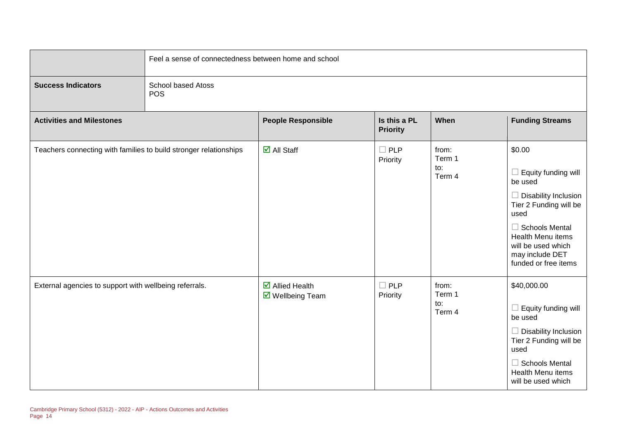|                                                                   | Feel a sense of connectedness between home and school |                                                                         |                                 |                                  |                                                                                                                                                                                                                                 |  |
|-------------------------------------------------------------------|-------------------------------------------------------|-------------------------------------------------------------------------|---------------------------------|----------------------------------|---------------------------------------------------------------------------------------------------------------------------------------------------------------------------------------------------------------------------------|--|
| <b>Success Indicators</b>                                         | <b>School based Atoss</b><br>POS                      |                                                                         |                                 |                                  |                                                                                                                                                                                                                                 |  |
| <b>Activities and Milestones</b>                                  |                                                       | <b>People Responsible</b>                                               | Is this a PL<br><b>Priority</b> | When                             | <b>Funding Streams</b>                                                                                                                                                                                                          |  |
| Teachers connecting with families to build stronger relationships |                                                       | $\overline{\mathbf{M}}$ All Staff                                       | $\square$ PLP<br>Priority       | from:<br>Term 1<br>to:<br>Term 4 | \$0.00<br>$\Box$ Equity funding will<br>be used<br>Disability Inclusion<br>Tier 2 Funding will be<br>used<br>$\Box$ Schools Mental<br><b>Health Menu items</b><br>will be used which<br>may include DET<br>funded or free items |  |
| External agencies to support with wellbeing referrals.            |                                                       | $\overline{\mathbf{M}}$ Allied Health<br>$\triangledown$ Wellbeing Team | $\Box$ PLP<br>Priority          | from:<br>Term 1<br>to:<br>Term 4 | \$40,000.00<br>$\Box$ Equity funding will<br>be used<br>Disability Inclusion<br>Tier 2 Funding will be<br>used<br>$\Box$ Schools Mental<br>Health Menu items<br>will be used which                                              |  |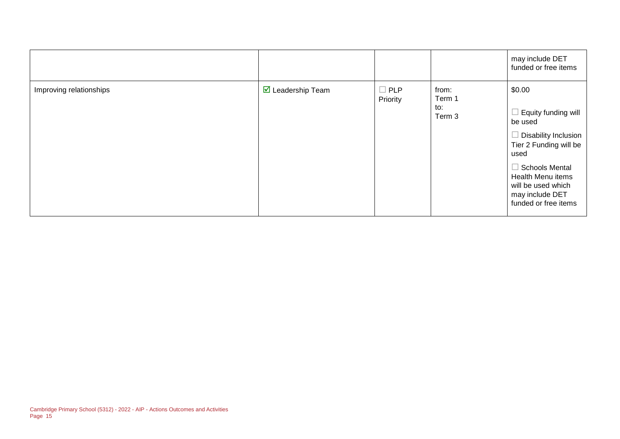|                         |                                 |                        |                                  | may include DET<br>funded or free items                                                                                                                                                                                  |
|-------------------------|---------------------------------|------------------------|----------------------------------|--------------------------------------------------------------------------------------------------------------------------------------------------------------------------------------------------------------------------|
| Improving relationships | $\triangledown$ Leadership Team | $\Box$ PLP<br>Priority | from:<br>Term 1<br>to:<br>Term 3 | \$0.00<br>Equity funding will<br>be used<br><b>Disability Inclusion</b><br>Tier 2 Funding will be<br>used<br>$\Box$ Schools Mental<br>Health Menu items<br>will be used which<br>may include DET<br>funded or free items |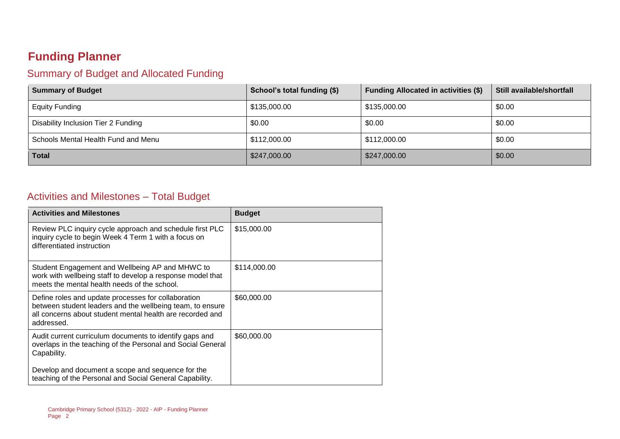# **Funding Planner**

## Summary of Budget and Allocated Funding

| <b>Summary of Budget</b>            | School's total funding (\$) | <b>Funding Allocated in activities (\$)</b> | Still available/shortfall |
|-------------------------------------|-----------------------------|---------------------------------------------|---------------------------|
| <b>Equity Funding</b>               | \$135,000.00                | \$135,000.00                                | \$0.00                    |
| Disability Inclusion Tier 2 Funding | \$0.00                      | \$0.00                                      | \$0.00                    |
| Schools Mental Health Fund and Menu | \$112,000.00                | \$112,000.00                                | \$0.00                    |
| <b>Total</b>                        | \$247,000.00                | \$247,000.00                                | \$0.00                    |

#### Activities and Milestones – Total Budget

| <b>Activities and Milestones</b>                                                                                                                                                            | <b>Budget</b> |
|---------------------------------------------------------------------------------------------------------------------------------------------------------------------------------------------|---------------|
| Review PLC inquiry cycle approach and schedule first PLC<br>inquiry cycle to begin Week 4 Term 1 with a focus on<br>differentiated instruction                                              | \$15,000.00   |
| Student Engagement and Wellbeing AP and MHWC to<br>work with wellbeing staff to develop a response model that<br>meets the mental health needs of the school.                               | \$114,000.00  |
| Define roles and update processes for collaboration<br>between student leaders and the wellbeing team, to ensure<br>all concerns about student mental health are recorded and<br>addressed. | \$60,000.00   |
| Audit current curriculum documents to identify gaps and<br>overlaps in the teaching of the Personal and Social General<br>Capability.                                                       | \$60,000.00   |
| Develop and document a scope and sequence for the<br>teaching of the Personal and Social General Capability.                                                                                |               |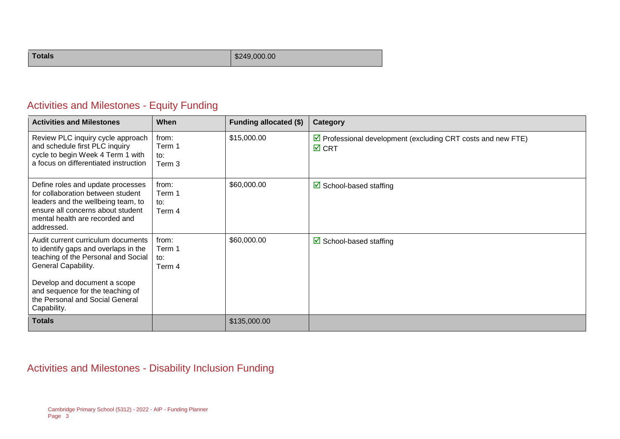| Totals | \$249,000.00 |
|--------|--------------|
|--------|--------------|

## Activities and Milestones - Equity Funding

| <b>Activities and Milestones</b>                                                                                                                                                                                                                               | When                             | <b>Funding allocated (\$)</b> | Category                                                                                       |
|----------------------------------------------------------------------------------------------------------------------------------------------------------------------------------------------------------------------------------------------------------------|----------------------------------|-------------------------------|------------------------------------------------------------------------------------------------|
| Review PLC inquiry cycle approach<br>and schedule first PLC inquiry<br>cycle to begin Week 4 Term 1 with<br>a focus on differentiated instruction                                                                                                              | from:<br>Term 1<br>to:<br>Term 3 | \$15,000.00                   | $\triangleright$ Professional development (excluding CRT costs and new FTE)<br>$\boxtimes$ CRT |
| Define roles and update processes<br>for collaboration between student<br>leaders and the wellbeing team, to<br>ensure all concerns about student<br>mental health are recorded and<br>addressed.                                                              | from:<br>Term 1<br>to:<br>Term 4 | \$60,000.00                   | $\boxtimes$ School-based staffing                                                              |
| Audit current curriculum documents<br>to identify gaps and overlaps in the<br>teaching of the Personal and Social<br>General Capability.<br>Develop and document a scope<br>and sequence for the teaching of<br>the Personal and Social General<br>Capability. | from:<br>Term 1<br>to:<br>Term 4 | \$60,000.00                   | $\boxtimes$ School-based staffing                                                              |
| <b>Totals</b>                                                                                                                                                                                                                                                  |                                  | \$135,000.00                  |                                                                                                |

#### Activities and Milestones - Disability Inclusion Funding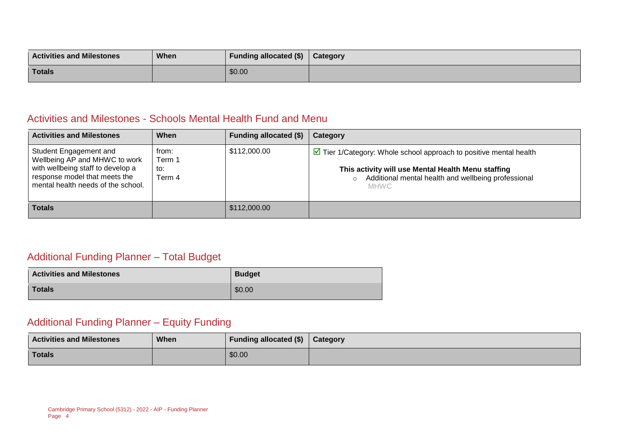| <b>Activities and Milestones</b> | <b>When</b> | <b>Funding allocated (\$)</b> | Category |
|----------------------------------|-------------|-------------------------------|----------|
| <b>Totals</b>                    |             | \$0.00                        |          |

#### Activities and Milestones - Schools Mental Health Fund and Menu

| <b>Activities and Milestones</b>                                                                                                                                    | When                             | Funding allocated (\$) | Category                                                                                                                                                                                                      |
|---------------------------------------------------------------------------------------------------------------------------------------------------------------------|----------------------------------|------------------------|---------------------------------------------------------------------------------------------------------------------------------------------------------------------------------------------------------------|
| Student Engagement and<br>Wellbeing AP and MHWC to work<br>with wellbeing staff to develop a<br>response model that meets the<br>mental health needs of the school. | from:<br>Term 1<br>to:<br>Term 4 | \$112,000.00           | $\triangleright$ Tier 1/Category: Whole school approach to positive mental health<br>This activity will use Mental Health Menu staffing<br>Additional mental health and wellbeing professional<br><b>MHWC</b> |
| <b>Totals</b>                                                                                                                                                       |                                  | \$112,000.00           |                                                                                                                                                                                                               |

## Additional Funding Planner – Total Budget

| <b>Activities and Milestones</b> | <b>Budget</b> |  |
|----------------------------------|---------------|--|
| <b>Totals</b>                    | \$0.00        |  |

#### Additional Funding Planner – Equity Funding

| <b>Activities and Milestones</b> | <b>When</b> | Funding allocated $(\$)$   Category |  |
|----------------------------------|-------------|-------------------------------------|--|
| <b>Totals</b>                    |             | \$0.00                              |  |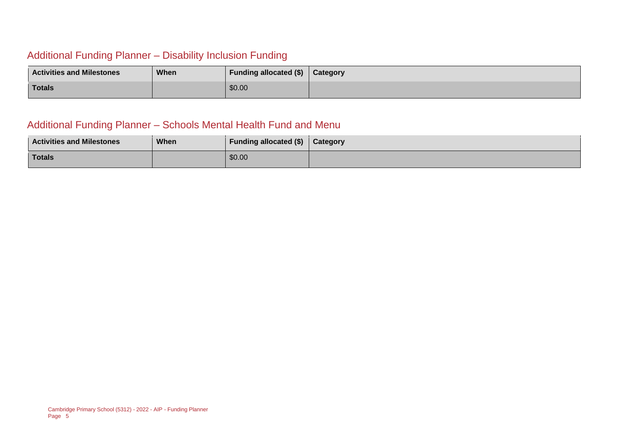## Additional Funding Planner – Disability Inclusion Funding

| <b>Activities and Milestones</b> | When | Funding allocated (\$) | Category |
|----------------------------------|------|------------------------|----------|
| Totals                           |      | \$0.00                 |          |

#### Additional Funding Planner – Schools Mental Health Fund and Menu

| <b>Activities and Milestones</b> | When | <b>Funding allocated (\$)</b> | Category |
|----------------------------------|------|-------------------------------|----------|
| <b>Totals</b>                    |      | \$0.00                        |          |